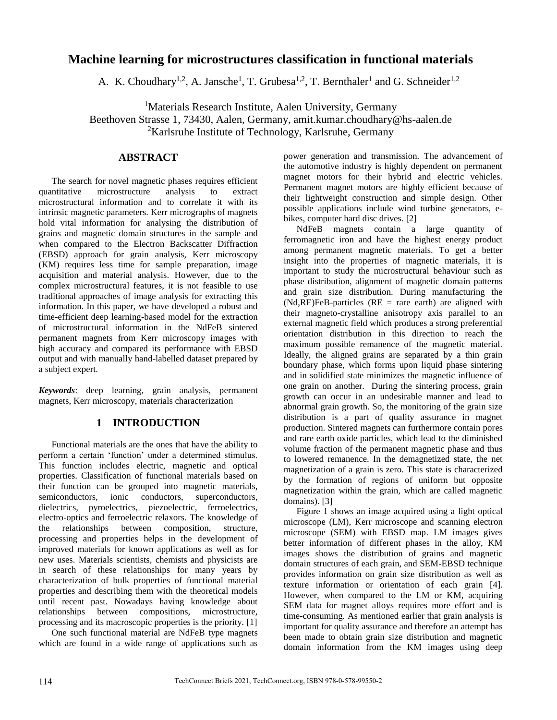# **Machine learning for microstructures classification in functional materials**

A. K. Choudhary<sup>1,2</sup>, A. Jansche<sup>1</sup>, T. Grubesa<sup>1,2</sup>, T. Bernthaler<sup>1</sup> and G. Schneider<sup>1,2</sup>

<sup>1</sup>Materials Research Institute, Aalen University, Germany

Beethoven Strasse 1, 73430, Aalen, Germany, amit.kumar.choudhary@hs-aalen.de <sup>2</sup>Karlsruhe Institute of Technology, Karlsruhe, Germany

# **ABSTRACT**

The search for novel magnetic phases requires efficient quantitative microstructure analysis to extract microstructural information and to correlate it with its intrinsic magnetic parameters. Kerr micrographs of magnets hold vital information for analysing the distribution of grains and magnetic domain structures in the sample and when compared to the Electron Backscatter Diffraction (EBSD) approach for grain analysis, Kerr microscopy (KM) requires less time for sample preparation, image acquisition and material analysis. However, due to the complex microstructural features, it is not feasible to use traditional approaches of image analysis for extracting this information. In this paper, we have developed a robust and time-efficient deep learning-based model for the extraction of microstructural information in the NdFeB sintered permanent magnets from Kerr microscopy images with high accuracy and compared its performance with EBSD output and with manually hand-labelled dataset prepared by a subject expert.

*Keywords*: deep learning, grain analysis, permanent magnets, Kerr microscopy, materials characterization

### **1 INTRODUCTION**

Functional materials are the ones that have the ability to perform a certain 'function' under a determined stimulus. This function includes electric, magnetic and optical properties. Classification of functional materials based on their function can be grouped into magnetic materials, semiconductors, ionic conductors, superconductors, dielectrics, pyroelectrics, piezoelectric, ferroelectrics, electro-optics and ferroelectric relaxors. The knowledge of the relationships between composition, structure, processing and properties helps in the development of improved materials for known applications as well as for new uses. Materials scientists, chemists and physicists are in search of these relationships for many years by characterization of bulk properties of functional material properties and describing them with the theoretical models until recent past. Nowadays having knowledge about relationships between compositions, microstructure, processing and its macroscopic properties is the priority. [1]

One such functional material are NdFeB type magnets which are found in a wide range of applications such as power generation and transmission. The advancement of the automotive industry is highly dependent on permanent magnet motors for their hybrid and electric vehicles. Permanent magnet motors are highly efficient because of their lightweight construction and simple design. Other possible applications include wind turbine generators, ebikes, computer hard disc drives. [2]

NdFeB magnets contain a large quantity of ferromagnetic iron and have the highest energy product among permanent magnetic materials. To get a better insight into the properties of magnetic materials, it is important to study the microstructural behaviour such as phase distribution, alignment of magnetic domain patterns and grain size distribution. During manufacturing the  $(Nd, RE)FeB$ -particles  $(RE = rare earth)$  are aligned with their magneto-crystalline anisotropy axis parallel to an external magnetic field which produces a strong preferential orientation distribution in this direction to reach the maximum possible remanence of the magnetic material. Ideally, the aligned grains are separated by a thin grain boundary phase, which forms upon liquid phase sintering and in solidified state minimizes the magnetic influence of one grain on another. During the sintering process, grain growth can occur in an undesirable manner and lead to abnormal grain growth. So, the monitoring of the grain size distribution is a part of quality assurance in magnet production. Sintered magnets can furthermore contain pores and rare earth oxide particles, which lead to the diminished volume fraction of the permanent magnetic phase and thus to lowered remanence. In the demagnetized state, the net magnetization of a grain is zero. This state is characterized by the formation of regions of uniform but opposite magnetization within the grain, which are called magnetic domains). [3]

Figure 1 shows an image acquired using a light optical microscope (LM), Kerr microscope and scanning electron microscope (SEM) with EBSD map. LM images gives better information of different phases in the alloy, KM images shows the distribution of grains and magnetic domain structures of each grain, and SEM-EBSD technique provides information on grain size distribution as well as texture information or orientation of each grain [4]. However, when compared to the LM or KM, acquiring SEM data for magnet alloys requires more effort and is time-consuming. As mentioned earlier that grain analysis is important for quality assurance and therefore an attempt has been made to obtain grain size distribution and magnetic domain information from the KM images using deep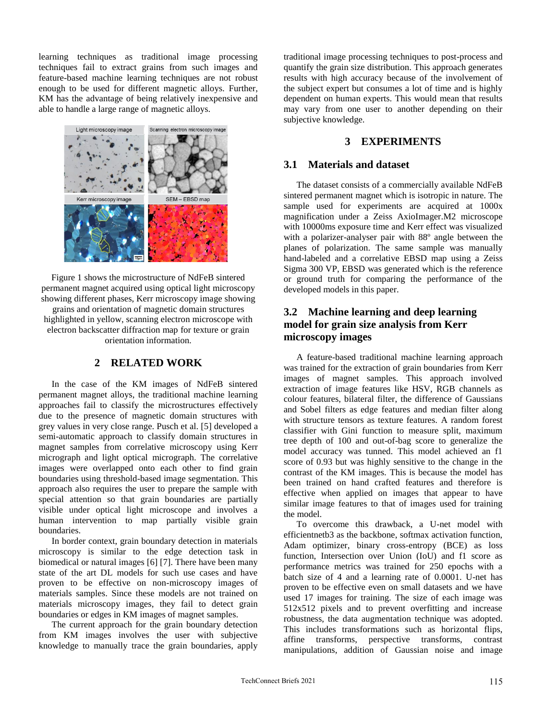learning techniques as traditional image processing techniques fail to extract grains from such images and feature-based machine learning techniques are not robust enough to be used for different magnetic alloys. Further, KM has the advantage of being relatively inexpensive and able to handle a large range of magnetic alloys.



Figure 1 shows the microstructure of NdFeB sintered permanent magnet acquired using optical light microscopy showing different phases, Kerr microscopy image showing grains and orientation of magnetic domain structures highlighted in yellow, scanning electron microscope with electron backscatter diffraction map for texture or grain orientation information.

### **2 RELATED WORK**

In the case of the KM images of NdFeB sintered permanent magnet alloys, the traditional machine learning approaches fail to classify the microstructures effectively due to the presence of magnetic domain structures with grey values in very close range. Pusch et al. [5] developed a semi-automatic approach to classify domain structures in magnet samples from correlative microscopy using Kerr micrograph and light optical micrograph. The correlative images were overlapped onto each other to find grain boundaries using threshold-based image segmentation. This approach also requires the user to prepare the sample with special attention so that grain boundaries are partially visible under optical light microscope and involves a human intervention to map partially visible grain boundaries.

In border context, grain boundary detection in materials microscopy is similar to the edge detection task in biomedical or natural images [6] [7]. There have been many state of the art DL models for such use cases and have proven to be effective on non-microscopy images of materials samples. Since these models are not trained on materials microscopy images, they fail to detect grain boundaries or edges in KM images of magnet samples.

The current approach for the grain boundary detection from KM images involves the user with subjective knowledge to manually trace the grain boundaries, apply

traditional image processing techniques to post-process and quantify the grain size distribution. This approach generates results with high accuracy because of the involvement of the subject expert but consumes a lot of time and is highly dependent on human experts. This would mean that results may vary from one user to another depending on their subjective knowledge.

# **3 EXPERIMENTS**

### **3.1 Materials and dataset**

The dataset consists of a commercially available NdFeB sintered permanent magnet which is isotropic in nature. The sample used for experiments are acquired at 1000x magnification under a Zeiss AxioImager.M2 microscope with 10000ms exposure time and Kerr effect was visualized with a polarizer-analyser pair with 88º angle between the planes of polarization. The same sample was manually hand-labeled and a correlative EBSD map using a Zeiss Sigma 300 VP, EBSD was generated which is the reference or ground truth for comparing the performance of the developed models in this paper.

# **3.2 Machine learning and deep learning model for grain size analysis from Kerr microscopy images**

A feature-based traditional machine learning approach was trained for the extraction of grain boundaries from Kerr images of magnet samples. This approach involved extraction of image features like HSV, RGB channels as colour features, bilateral filter, the difference of Gaussians and Sobel filters as edge features and median filter along with structure tensors as texture features. A random forest classifier with Gini function to measure split, maximum tree depth of 100 and out-of-bag score to generalize the model accuracy was tunned. This model achieved an f1 score of 0.93 but was highly sensitive to the change in the contrast of the KM images. This is because the model has been trained on hand crafted features and therefore is effective when applied on images that appear to have similar image features to that of images used for training the model.

To overcome this drawback, a U-net model with efficientnetb3 as the backbone, softmax activation function, Adam optimizer, binary cross-entropy (BCE) as loss function, Intersection over Union (IoU) and f1 score as performance metrics was trained for 250 epochs with a batch size of 4 and a learning rate of 0.0001. U-net has proven to be effective even on small datasets and we have used 17 images for training. The size of each image was 512x512 pixels and to prevent overfitting and increase robustness, the data augmentation technique was adopted. This includes transformations such as horizontal flips, affine transforms, perspective transforms, contrast manipulations, addition of Gaussian noise and image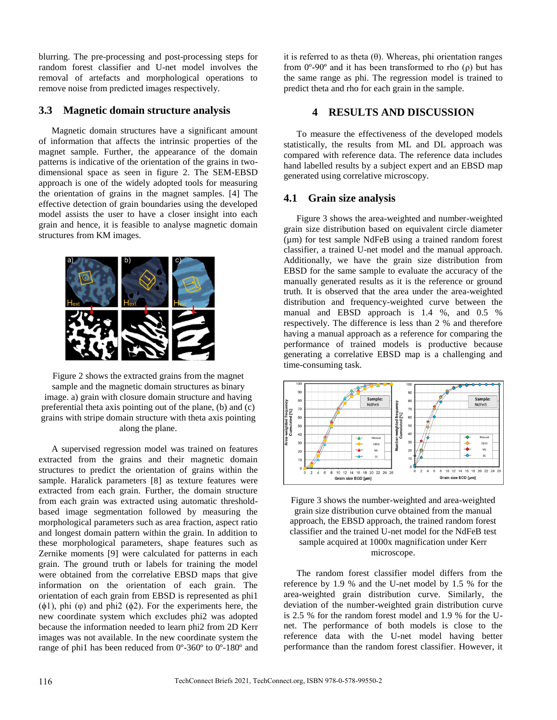blurring. The pre-processing and post-processing steps for random forest classifier and U-net model involves the removal of artefacts and morphological operations to remove noise from predicted images respectively.

## **3.3 Magnetic domain structure analysis**

Magnetic domain structures have a significant amount of information that affects the intrinsic properties of the magnet sample. Further, the appearance of the domain patterns is indicative of the orientation of the grains in twodimensional space as seen in figure 2. The SEM-EBSD approach is one of the widely adopted tools for measuring the orientation of grains in the magnet samples. [4] The effective detection of grain boundaries using the developed model assists the user to have a closer insight into each grain and hence, it is feasible to analyse magnetic domain structures from KM images.



Figure 2 shows the extracted grains from the magnet sample and the magnetic domain structures as binary image. a) grain with closure domain structure and having preferential theta axis pointing out of the plane, (b) and (c) grains with stripe domain structure with theta axis pointing along the plane.

A supervised regression model was trained on features extracted from the grains and their magnetic domain structures to predict the orientation of grains within the sample. Haralick parameters [8] as texture features were extracted from each grain. Further, the domain structure from each grain was extracted using automatic thresholdbased image segmentation followed by measuring the morphological parameters such as area fraction, aspect ratio and longest domain pattern within the grain. In addition to these morphological parameters, shape features such as Zernike moments [9] were calculated for patterns in each grain. The ground truth or labels for training the model were obtained from the correlative EBSD maps that give information on the orientation of each grain. The orientation of each grain from EBSD is represented as phi1  $(\phi_1)$ , phi  $(\phi)$  and phi2  $(\phi_2)$ . For the experiments here, the new coordinate system which excludes phi2 was adopted because the information needed to learn phi2 from 2D Kerr images was not available. In the new coordinate system the range of phi1 has been reduced from 0º-360º to 0º-180º and it is referred to as theta (θ). Whereas, phi orientation ranges from 0º-90º and it has been transformed to rho (ρ) but has the same range as phi. The regression model is trained to predict theta and rho for each grain in the sample.

# **4 RESULTS AND DISCUSSION**

To measure the effectiveness of the developed models statistically, the results from ML and DL approach was compared with reference data. The reference data includes hand labelled results by a subject expert and an EBSD map generated using correlative microscopy.

#### **4.1 Grain size analysis**

Figure 3 shows the area-weighted and number-weighted grain size distribution based on equivalent circle diameter  $(\mu m)$  for test sample NdFeB using a trained random forest classifier, a trained U-net model and the manual approach. Additionally, we have the grain size distribution from EBSD for the same sample to evaluate the accuracy of the manually generated results as it is the reference or ground truth. It is observed that the area under the area-weighted distribution and frequency-weighted curve between the manual and EBSD approach is 1.4 %, and 0.5 % respectively. The difference is less than 2 % and therefore having a manual approach as a reference for comparing the performance of trained models is productive because generating a correlative EBSD map is a challenging and time-consuming task.



Figure 3 shows the number-weighted and area-weighted grain size distribution curve obtained from the manual approach, the EBSD approach, the trained random forest classifier and the trained U-net model for the NdFeB test sample acquired at 1000x magnification under Kerr microscope.

The random forest classifier model differs from the reference by 1.9 % and the U-net model by 1.5 % for the area-weighted grain distribution curve. Similarly, the deviation of the number-weighted grain distribution curve is 2.5 % for the random forest model and 1.9 % for the Unet. The performance of both models is close to the reference data with the U-net model having better performance than the random forest classifier. However, it